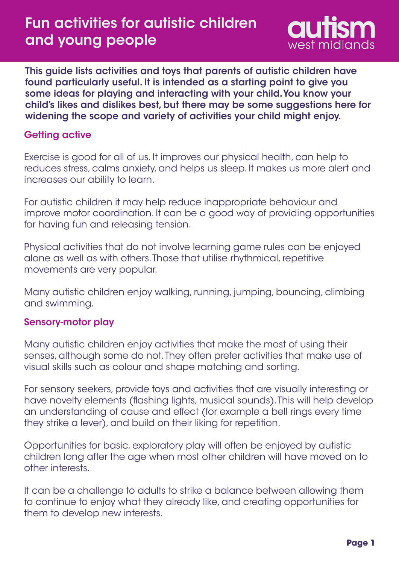# Fun activities for autistic children and young people



This guide lists activities and toys that parents of autistic children have found particularly useful. It is intended as a starting point to give you some ideas for playing and interacting with your child. You know your child's likes and dislikes best, but there may be some suggestions here for widening the scope and variety of activities your child might enjoy.

### Getting active

Exercise is good for all of us. It improves our physical health, can help to reduces stress, calms anxiety, and helps us sleep. It makes us more alert and increases our ability to learn.

For autistic children it may help reduce inappropriate behaviour and improve motor coordination. It can be a good way of providing opportunities for having fun and releasing tension.

Physical activities that do not involve learning game rules can be enjoyed alone as well as with others. Those that utilise rhythmical, repetitive movements are very popular.

Many autistic children enjoy walking, running, jumping, bouncing, climbing and swimming.

#### Sensory-motor play

Many autistic children enjoy activities that make the most of using their senses, although some do not. They often prefer activities that make use of visual skills such as colour and shape matching and sorting.

For sensory seekers, provide toys and activities that are visually interesting or have novelty elements (flashing lights, musical sounds). This will help develop an understanding of cause and effect (for example a bell rings every time they strike a lever), and build on their liking for repetition.

Opportunities for basic, exploratory play will often be enjoyed by autistic children long after the age when most other children will have moved on to other interests.

It can be a challenge to adults to strike a balance between allowing them to continue to enjoy what they already like, and creating opportunities for them to develop new interests.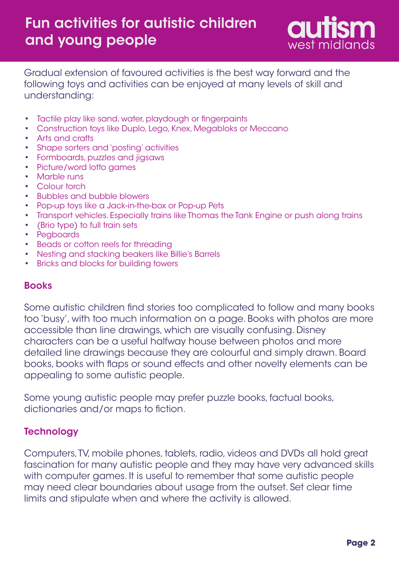

Gradual extension of favoured activities is the best way forward and the following toys and activities can be enjoyed at many levels of skill and understanding:

- Tactile play like sand, water, playdough or fingerpaints •
- Construction toys like Duplo, Lego, Knex, Megabloks or Meccano •
- Arts and crafts •
- Shape sorters and `posting' activities
- Formboards, puzzles and jigsaws
- Picture/word lotto games
- Marble runs
- Colour torch
- Bubbles and bubble blowers
- Pop-up toys like a Jack-in-the-box or Pop-up Pets
- Transport vehicles. Especially trains like Thomas the Tank Engine or push along trains
- (Brio type) to full train sets
- Pegboards
- Beads or cotton reels for threading
- Nesting and stacking beakers like Billie's Barrels •
- Bricks and blocks for building towers •

#### Books

Some autistic children find stories too complicated to follow and many books too 'busy', with too much information on a page. Books with photos are more accessible than line drawings, which are visually confusing. Disney characters can be a useful halfway house between photos and more detailed line drawings because they are colourful and simply drawn. Board books, books with flaps or sound effects and other novelty elements can be appealing to some autistic people.

Some young autistic people may prefer puzzle books, factual books, dictionaries and/or maps to fiction.

#### **Technology**

Computers, TV, mobile phones, tablets, radio, videos and DVDs all hold great fascination for many autistic people and they may have very advanced skills with computer games. It is useful to remember that some autistic people may need clear boundaries about usage from the outset. Set clear time limits and stipulate when and where the activity is allowed.